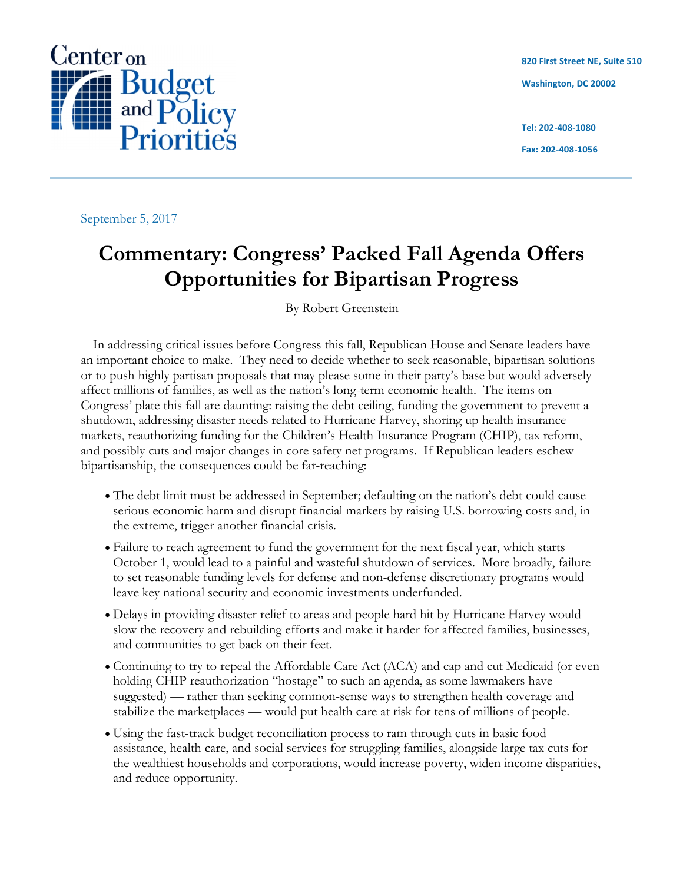

**820 First Street NE, Suite 510 Washington, DC 20002**

**Tel: 202-408-1080**

**Fax: 202-408-1056**

September 5, 2017

# **Commentary: Congress' Packed Fall Agenda Offers Opportunities for Bipartisan Progress**

By Robert Greenstein

In addressing critical issues before Congress this fall, Republican House and Senate leaders have an important choice to make. They need to decide whether to seek reasonable, bipartisan solutions or to push highly partisan proposals that may please some in their party's base but would adversely affect millions of families, as well as the nation's long-term economic health. The items on Congress' plate this fall are daunting: raising the debt ceiling, funding the government to prevent a shutdown, addressing disaster needs related to Hurricane Harvey, shoring up health insurance markets, reauthorizing funding for the Children's Health Insurance Program (CHIP), tax reform, and possibly cuts and major changes in core safety net programs. If Republican leaders eschew bipartisanship, the consequences could be far-reaching:

- The debt limit must be addressed in September; defaulting on the nation's debt could cause serious economic harm and disrupt financial markets by raising U.S. borrowing costs and, in the extreme, trigger another financial crisis.
- Failure to reach agreement to fund the government for the next fiscal year, which starts October 1, would lead to a painful and wasteful shutdown of services. More broadly, failure to set reasonable funding levels for defense and non-defense discretionary programs would leave key national security and economic investments underfunded.
- Delays in providing disaster relief to areas and people hard hit by Hurricane Harvey would slow the recovery and rebuilding efforts and make it harder for affected families, businesses, and communities to get back on their feet.
- Continuing to try to repeal the Affordable Care Act (ACA) and cap and cut Medicaid (or even holding CHIP reauthorization "hostage" to such an agenda, as some lawmakers have suggested) — rather than seeking common-sense ways to strengthen health coverage and stabilize the marketplaces — would put health care at risk for tens of millions of people.
- Using the fast-track budget reconciliation process to ram through cuts in basic food assistance, health care, and social services for struggling families, alongside large tax cuts for the wealthiest households and corporations, would increase poverty, widen income disparities, and reduce opportunity.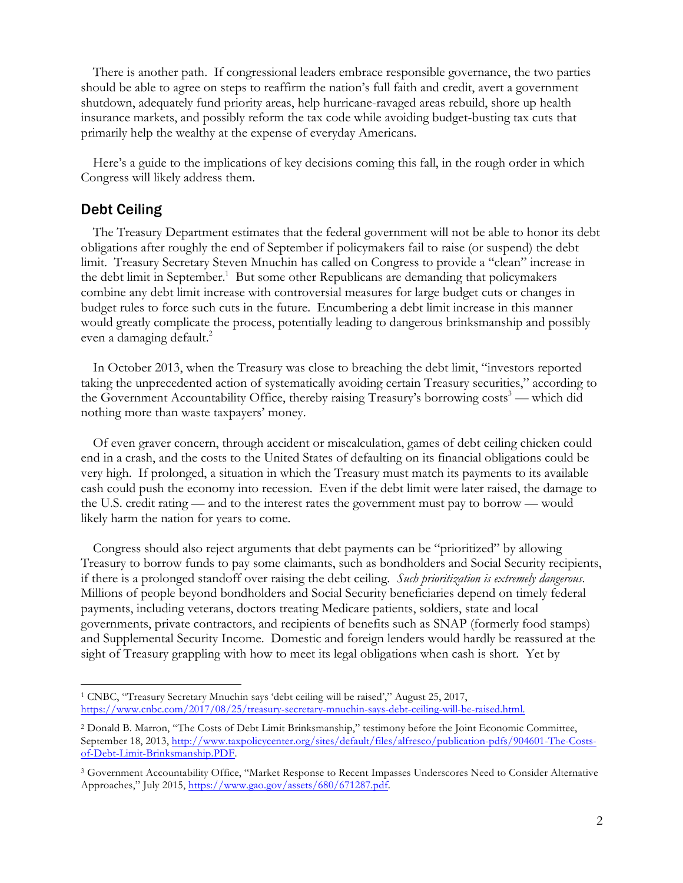There is another path. If congressional leaders embrace responsible governance, the two parties should be able to agree on steps to reaffirm the nation's full faith and credit, avert a government shutdown, adequately fund priority areas, help hurricane-ravaged areas rebuild, shore up health insurance markets, and possibly reform the tax code while avoiding budget-busting tax cuts that primarily help the wealthy at the expense of everyday Americans.

Here's a guide to the implications of key decisions coming this fall, in the rough order in which Congress will likely address them.

# Debt Ceiling

<u> Andrew Maria (1989)</u>

The Treasury Department estimates that the federal government will not be able to honor its debt obligations after roughly the end of September if policymakers fail to raise (or suspend) the debt limit. Treasury Secretary Steven Mnuchin has called on Congress to provide a "clean" increase in the debt limit in September.<sup>1</sup> But some other Republicans are demanding that policymakers combine any debt limit increase with controversial measures for large budget cuts or changes in budget rules to force such cuts in the future. Encumbering a debt limit increase in this manner would greatly complicate the process, potentially leading to dangerous brinksmanship and possibly even a damaging default. 2

In October 2013, when the Treasury was close to breaching the debt limit, "investors reported taking the unprecedented action of systematically avoiding certain Treasury securities," according to the Government Accountability Office, thereby raising Treasury's borrowing costs<sup>3</sup> — which did nothing more than waste taxpayers' money.

Of even graver concern, through accident or miscalculation, games of debt ceiling chicken could end in a crash, and the costs to the United States of defaulting on its financial obligations could be very high. If prolonged, a situation in which the Treasury must match its payments to its available cash could push the economy into recession. Even if the debt limit were later raised, the damage to the U.S. credit rating — and to the interest rates the government must pay to borrow — would likely harm the nation for years to come.

Congress should also reject arguments that debt payments can be "prioritized" by allowing Treasury to borrow funds to pay some claimants, such as bondholders and Social Security recipients, if there is a prolonged standoff over raising the debt ceiling. *Such prioritization is extremely dangerous*. Millions of people beyond bondholders and Social Security beneficiaries depend on timely federal payments, including veterans, doctors treating Medicare patients, soldiers, state and local governments, private contractors, and recipients of benefits such as SNAP (formerly food stamps) and Supplemental Security Income. Domestic and foreign lenders would hardly be reassured at the sight of Treasury grappling with how to meet its legal obligations when cash is short. Yet by

<sup>1</sup> CNBC, "Treasury Secretary Mnuchin says 'debt ceiling will be raised'," August 25, 2017, https://www.cnbc.com/2017/08/25/treasury-secretary-mnuchin-says-debt-ceiling-will-be-raised.html.

<sup>2</sup> Donald B. Marron, "The Costs of Debt Limit Brinksmanship," testimony before the Joint Economic Committee, September 18, 2013, http://www.taxpolicycenter.org/sites/default/files/alfresco/publication-pdfs/904601-The-Costsof-Debt-Limit-Brinksmanship.PDF.

<sup>3</sup> Government Accountability Office, "Market Response to Recent Impasses Underscores Need to Consider Alternative Approaches," July 2015, https://www.gao.gov/assets/680/671287.pdf.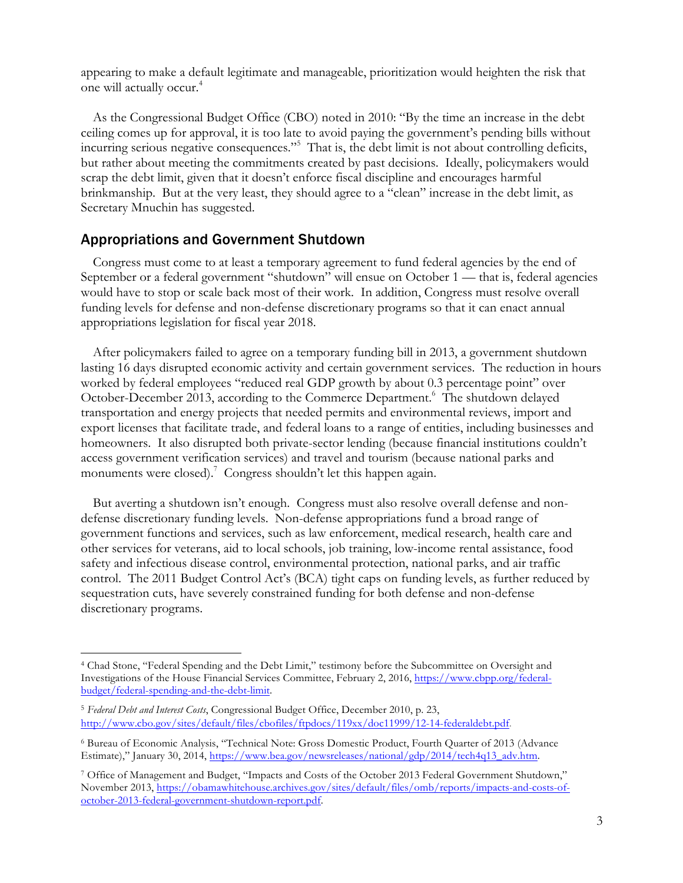appearing to make a default legitimate and manageable, prioritization would heighten the risk that one will actually occur.4

As the Congressional Budget Office (CBO) noted in 2010: "By the time an increase in the debt ceiling comes up for approval, it is too late to avoid paying the government's pending bills without incurring serious negative consequences."5 That is, the debt limit is not about controlling deficits, but rather about meeting the commitments created by past decisions. Ideally, policymakers would scrap the debt limit, given that it doesn't enforce fiscal discipline and encourages harmful brinkmanship. But at the very least, they should agree to a "clean" increase in the debt limit, as Secretary Mnuchin has suggested.

## Appropriations and Government Shutdown

<u> Andrew Maria (1989)</u>

Congress must come to at least a temporary agreement to fund federal agencies by the end of September or a federal government "shutdown" will ensue on October 1 — that is, federal agencies would have to stop or scale back most of their work. In addition, Congress must resolve overall funding levels for defense and non-defense discretionary programs so that it can enact annual appropriations legislation for fiscal year 2018.

After policymakers failed to agree on a temporary funding bill in 2013, a government shutdown lasting 16 days disrupted economic activity and certain government services. The reduction in hours worked by federal employees "reduced real GDP growth by about 0.3 percentage point" over October-December 2013, according to the Commerce Department.<sup>6</sup> The shutdown delayed transportation and energy projects that needed permits and environmental reviews, import and export licenses that facilitate trade, and federal loans to a range of entities, including businesses and homeowners. It also disrupted both private-sector lending (because financial institutions couldn't access government verification services) and travel and tourism (because national parks and monuments were closed).<sup>7</sup> Congress shouldn't let this happen again.

But averting a shutdown isn't enough. Congress must also resolve overall defense and nondefense discretionary funding levels. Non-defense appropriations fund a broad range of government functions and services, such as law enforcement, medical research, health care and other services for veterans, aid to local schools, job training, low-income rental assistance, food safety and infectious disease control, environmental protection, national parks, and air traffic control. The 2011 Budget Control Act's (BCA) tight caps on funding levels, as further reduced by sequestration cuts, have severely constrained funding for both defense and non-defense discretionary programs.

<sup>4</sup> Chad Stone, "Federal Spending and the Debt Limit," testimony before the Subcommittee on Oversight and Investigations of the House Financial Services Committee, February 2, 2016, https://www.cbpp.org/federalbudget/federal-spending-and-the-debt-limit.

<sup>5</sup> *Federal Debt and Interest Costs*, Congressional Budget Office, December 2010, p. 23, http://www.cbo.gov/sites/default/files/cbofiles/ftpdocs/119xx/doc11999/12-14-federaldebt.pdf.

<sup>6</sup> Bureau of Economic Analysis, "Technical Note: Gross Domestic Product, Fourth Quarter of 2013 (Advance Estimate)," January 30, 2014, https://www.bea.gov/newsreleases/national/gdp/2014/tech4q13\_adv.htm.

<sup>7</sup> Office of Management and Budget, "Impacts and Costs of the October 2013 Federal Government Shutdown," November 2013, https://obamawhitehouse.archives.gov/sites/default/files/omb/reports/impacts-and-costs-ofoctober-2013-federal-government-shutdown-report.pdf.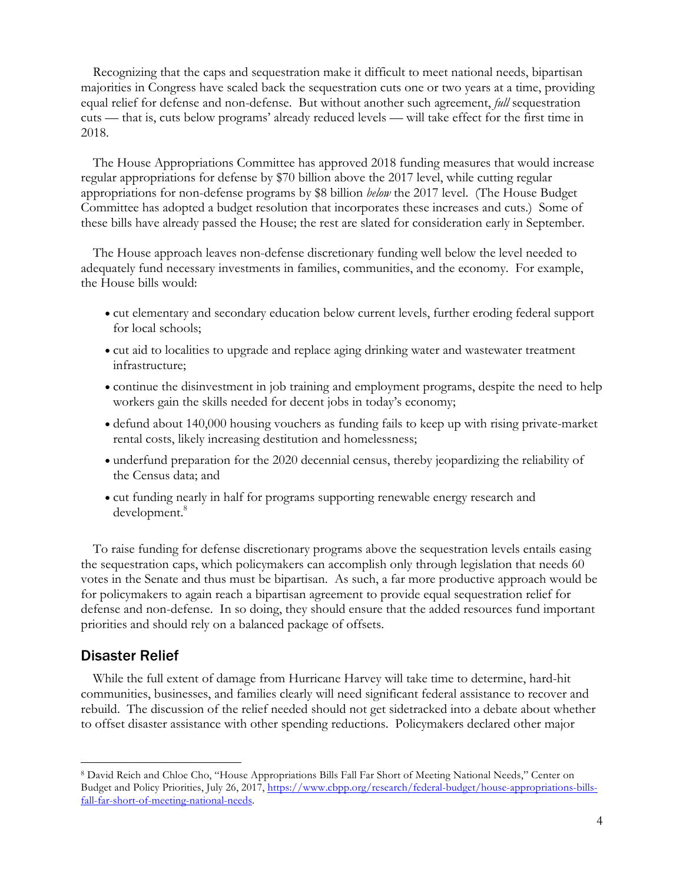Recognizing that the caps and sequestration make it difficult to meet national needs, bipartisan majorities in Congress have scaled back the sequestration cuts one or two years at a time, providing equal relief for defense and non-defense. But without another such agreement, *full* sequestration cuts — that is, cuts below programs' already reduced levels — will take effect for the first time in 2018.

The House Appropriations Committee has approved 2018 funding measures that would increase regular appropriations for defense by \$70 billion above the 2017 level, while cutting regular appropriations for non-defense programs by \$8 billion *below* the 2017 level. (The House Budget Committee has adopted a budget resolution that incorporates these increases and cuts.) Some of these bills have already passed the House; the rest are slated for consideration early in September.

The House approach leaves non-defense discretionary funding well below the level needed to adequately fund necessary investments in families, communities, and the economy. For example, the House bills would:

- cut elementary and secondary education below current levels, further eroding federal support for local schools;
- cut aid to localities to upgrade and replace aging drinking water and wastewater treatment infrastructure;
- continue the disinvestment in job training and employment programs, despite the need to help workers gain the skills needed for decent jobs in today's economy;
- defund about 140,000 housing vouchers as funding fails to keep up with rising private-market rental costs, likely increasing destitution and homelessness;
- underfund preparation for the 2020 decennial census, thereby jeopardizing the reliability of the Census data; and
- cut funding nearly in half for programs supporting renewable energy research and development. 8

To raise funding for defense discretionary programs above the sequestration levels entails easing the sequestration caps, which policymakers can accomplish only through legislation that needs 60 votes in the Senate and thus must be bipartisan. As such, a far more productive approach would be for policymakers to again reach a bipartisan agreement to provide equal sequestration relief for defense and non-defense. In so doing, they should ensure that the added resources fund important priorities and should rely on a balanced package of offsets.

# Disaster Relief

<u> Andrew Maria (1989)</u>

While the full extent of damage from Hurricane Harvey will take time to determine, hard-hit communities, businesses, and families clearly will need significant federal assistance to recover and rebuild. The discussion of the relief needed should not get sidetracked into a debate about whether to offset disaster assistance with other spending reductions. Policymakers declared other major

<sup>8</sup> David Reich and Chloe Cho, "House Appropriations Bills Fall Far Short of Meeting National Needs," Center on Budget and Policy Priorities, July 26, 2017, https://www.cbpp.org/research/federal-budget/house-appropriations-billsfall-far-short-of-meeting-national-needs.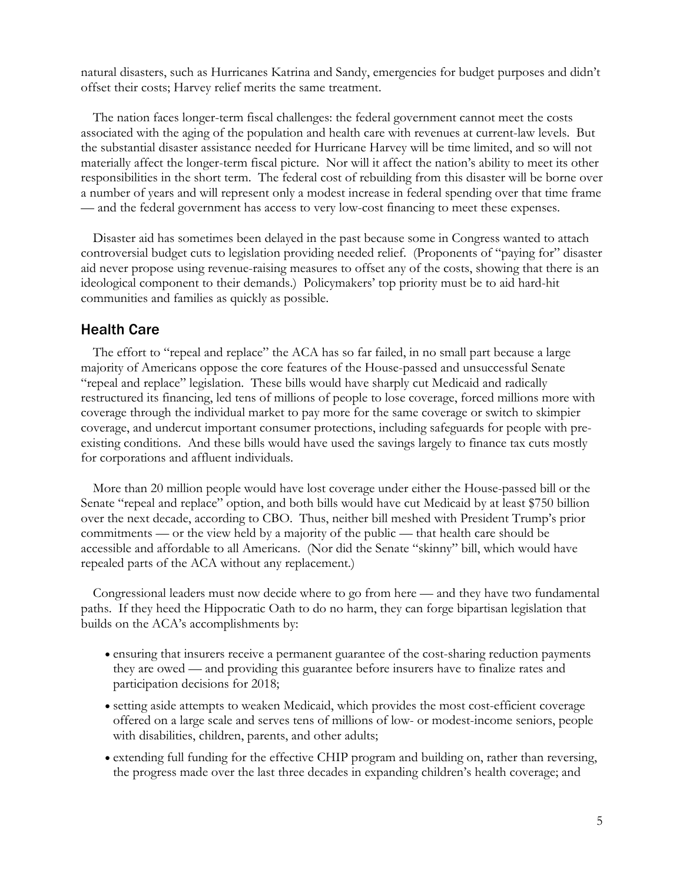natural disasters, such as Hurricanes Katrina and Sandy, emergencies for budget purposes and didn't offset their costs; Harvey relief merits the same treatment.

The nation faces longer-term fiscal challenges: the federal government cannot meet the costs associated with the aging of the population and health care with revenues at current-law levels. But the substantial disaster assistance needed for Hurricane Harvey will be time limited, and so will not materially affect the longer-term fiscal picture. Nor will it affect the nation's ability to meet its other responsibilities in the short term. The federal cost of rebuilding from this disaster will be borne over a number of years and will represent only a modest increase in federal spending over that time frame — and the federal government has access to very low-cost financing to meet these expenses.

Disaster aid has sometimes been delayed in the past because some in Congress wanted to attach controversial budget cuts to legislation providing needed relief. (Proponents of "paying for" disaster aid never propose using revenue-raising measures to offset any of the costs, showing that there is an ideological component to their demands.) Policymakers' top priority must be to aid hard-hit communities and families as quickly as possible.

#### Health Care

The effort to "repeal and replace" the ACA has so far failed, in no small part because a large majority of Americans oppose the core features of the House-passed and unsuccessful Senate "repeal and replace" legislation. These bills would have sharply cut Medicaid and radically restructured its financing, led tens of millions of people to lose coverage, forced millions more with coverage through the individual market to pay more for the same coverage or switch to skimpier coverage, and undercut important consumer protections, including safeguards for people with preexisting conditions. And these bills would have used the savings largely to finance tax cuts mostly for corporations and affluent individuals.

More than 20 million people would have lost coverage under either the House-passed bill or the Senate "repeal and replace" option, and both bills would have cut Medicaid by at least \$750 billion over the next decade, according to CBO. Thus, neither bill meshed with President Trump's prior commitments — or the view held by a majority of the public — that health care should be accessible and affordable to all Americans. (Nor did the Senate "skinny" bill, which would have repealed parts of the ACA without any replacement.)

Congressional leaders must now decide where to go from here — and they have two fundamental paths. If they heed the Hippocratic Oath to do no harm, they can forge bipartisan legislation that builds on the ACA's accomplishments by:

- ensuring that insurers receive a permanent guarantee of the cost-sharing reduction payments they are owed — and providing this guarantee before insurers have to finalize rates and participation decisions for 2018;
- setting aside attempts to weaken Medicaid, which provides the most cost-efficient coverage offered on a large scale and serves tens of millions of low- or modest-income seniors, people with disabilities, children, parents, and other adults;
- extending full funding for the effective CHIP program and building on, rather than reversing, the progress made over the last three decades in expanding children's health coverage; and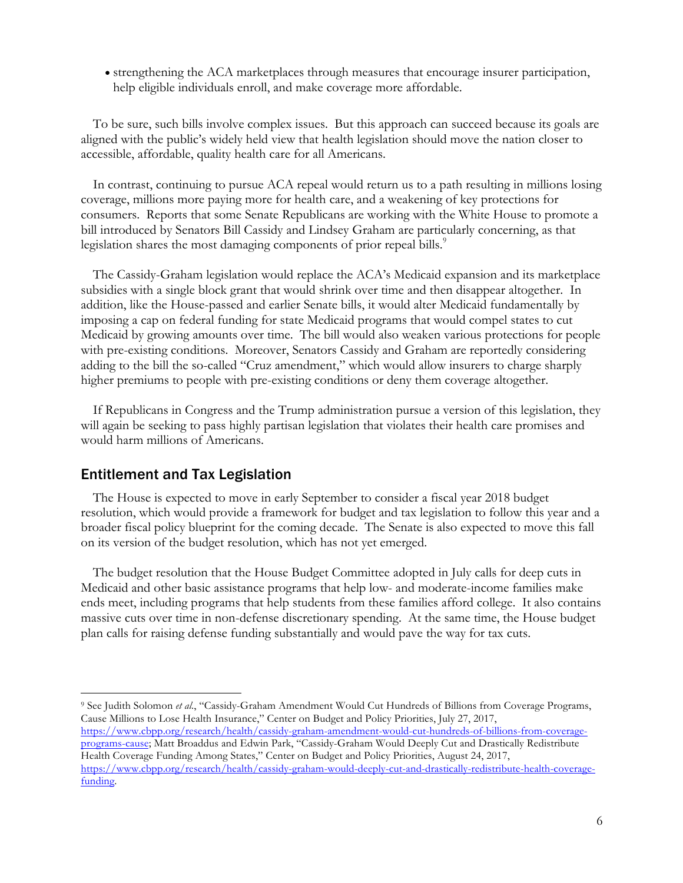• strengthening the ACA marketplaces through measures that encourage insurer participation, help eligible individuals enroll, and make coverage more affordable.

To be sure, such bills involve complex issues. But this approach can succeed because its goals are aligned with the public's widely held view that health legislation should move the nation closer to accessible, affordable, quality health care for all Americans.

In contrast, continuing to pursue ACA repeal would return us to a path resulting in millions losing coverage, millions more paying more for health care, and a weakening of key protections for consumers. Reports that some Senate Republicans are working with the White House to promote a bill introduced by Senators Bill Cassidy and Lindsey Graham are particularly concerning, as that legislation shares the most damaging components of prior repeal bills.<sup>9</sup>

The Cassidy-Graham legislation would replace the ACA's Medicaid expansion and its marketplace subsidies with a single block grant that would shrink over time and then disappear altogether. In addition, like the House-passed and earlier Senate bills, it would alter Medicaid fundamentally by imposing a cap on federal funding for state Medicaid programs that would compel states to cut Medicaid by growing amounts over time. The bill would also weaken various protections for people with pre-existing conditions. Moreover, Senators Cassidy and Graham are reportedly considering adding to the bill the so-called "Cruz amendment," which would allow insurers to charge sharply higher premiums to people with pre-existing conditions or deny them coverage altogether.

If Republicans in Congress and the Trump administration pursue a version of this legislation, they will again be seeking to pass highly partisan legislation that violates their health care promises and would harm millions of Americans.

## Entitlement and Tax Legislation

 

The House is expected to move in early September to consider a fiscal year 2018 budget resolution, which would provide a framework for budget and tax legislation to follow this year and a broader fiscal policy blueprint for the coming decade. The Senate is also expected to move this fall on its version of the budget resolution, which has not yet emerged.

The budget resolution that the House Budget Committee adopted in July calls for deep cuts in Medicaid and other basic assistance programs that help low- and moderate-income families make ends meet, including programs that help students from these families afford college. It also contains massive cuts over time in non-defense discretionary spending. At the same time, the House budget plan calls for raising defense funding substantially and would pave the way for tax cuts.

<sup>9</sup> See Judith Solomon *et al*., "Cassidy-Graham Amendment Would Cut Hundreds of Billions from Coverage Programs, Cause Millions to Lose Health Insurance," Center on Budget and Policy Priorities, July 27, 2017, https://www.cbpp.org/research/health/cassidy-graham-amendment-would-cut-hundreds-of-billions-from-coverage-

programs-cause; Matt Broaddus and Edwin Park, "Cassidy-Graham Would Deeply Cut and Drastically Redistribute Health Coverage Funding Among States," Center on Budget and Policy Priorities, August 24, 2017, https://www.cbpp.org/research/health/cassidy-graham-would-deeply-cut-and-drastically-redistribute-health-coveragefunding.